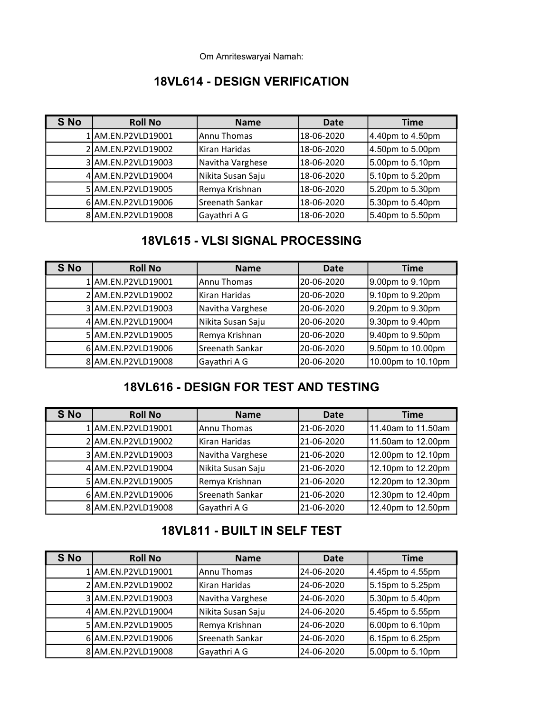Om Amriteswaryai Namah:

#### 18VL614 - DESIGN VERIFICATION

| S No | <b>Roll No</b>     | <b>Name</b>       | Date       | <b>Time</b>      |
|------|--------------------|-------------------|------------|------------------|
|      | 1 AM.EN.P2VLD19001 | Annu Thomas       | 18-06-2020 | 4.40pm to 4.50pm |
|      | 2 AM.EN.P2VLD19002 | Kiran Haridas     | 18-06-2020 | 4.50pm to 5.00pm |
|      | 3 AM.EN.P2VLD19003 | Navitha Varghese  | 18-06-2020 | 5.00pm to 5.10pm |
|      | 4 AM.EN.P2VLD19004 | Nikita Susan Saju | 18-06-2020 | 5.10pm to 5.20pm |
|      | 5 AM.EN.P2VLD19005 | Remya Krishnan    | 18-06-2020 | 5.20pm to 5.30pm |
|      | 6 AM.EN.P2VLD19006 | Sreenath Sankar   | 18-06-2020 | 5.30pm to 5.40pm |
|      | 8 AM.EN.P2VLD19008 | Gayathri A G      | 18-06-2020 | 5.40pm to 5.50pm |

## 18VL615 - VLSI SIGNAL PROCESSING

| S No | <b>Roll No</b>     | <b>Name</b>       | Date       | <b>Time</b>        |
|------|--------------------|-------------------|------------|--------------------|
|      | 1 AM.EN.P2VLD19001 | Annu Thomas       | 20-06-2020 | 9.00pm to 9.10pm   |
|      | 2 AM.EN.P2VLD19002 | Kiran Haridas     | 20-06-2020 | 9.10pm to 9.20pm   |
|      | 3 AM.EN.P2VLD19003 | Navitha Varghese  | 20-06-2020 | 9.20pm to 9.30pm   |
|      | 4 AM.EN.P2VLD19004 | Nikita Susan Saju | 20-06-2020 | 9.30pm to 9.40pm   |
|      | 5 AM.EN.P2VLD19005 | Remya Krishnan    | 20-06-2020 | 9.40pm to 9.50pm   |
|      | 6 AM.EN.P2VLD19006 | Sreenath Sankar   | 20-06-2020 | 9.50pm to 10.00pm  |
|      | 8 AM.EN.P2VLD19008 | Gayathri A G      | 20-06-2020 | 10.00pm to 10.10pm |

## 18VL616 - DESIGN FOR TEST AND TESTING

| S No | <b>Roll No</b>     | <b>Name</b>       | Date       | <b>Time</b>        |
|------|--------------------|-------------------|------------|--------------------|
|      | 1 AM.EN.P2VLD19001 | Annu Thomas       | 21-06-2020 | 11.40am to 11.50am |
|      | 2 AM.EN.P2VLD19002 | Kiran Haridas     | 21-06-2020 | 11.50am to 12.00pm |
|      | 3 AM.EN.P2VLD19003 | Navitha Varghese  | 21-06-2020 | 12.00pm to 12.10pm |
|      | 4 AM.EN.P2VLD19004 | Nikita Susan Saju | 21-06-2020 | 12.10pm to 12.20pm |
|      | 5 AM.EN.P2VLD19005 | Remya Krishnan    | 21-06-2020 | 12.20pm to 12.30pm |
|      | 6 AM.EN.P2VLD19006 | Sreenath Sankar   | 21-06-2020 | 12.30pm to 12.40pm |
|      | 8 AM.EN.P2VLD19008 | Gayathri A G      | 21-06-2020 | 12.40pm to 12.50pm |

### 18VL811 - BUILT IN SELF TEST

| <b>S</b> No | <b>Roll No</b>     | <b>Name</b>       | <b>Date</b> | <b>Time</b>      |
|-------------|--------------------|-------------------|-------------|------------------|
|             | 1 AM.EN.P2VLD19001 | Annu Thomas       | 24-06-2020  | 4.45pm to 4.55pm |
|             | 2 AM.EN.P2VLD19002 | Kiran Haridas     | 24-06-2020  | 5.15pm to 5.25pm |
|             | 3 AM.EN.P2VLD19003 | Navitha Varghese  | 24-06-2020  | 5.30pm to 5.40pm |
|             | 4 AM.EN.P2VLD19004 | Nikita Susan Saju | 24-06-2020  | 5.45pm to 5.55pm |
|             | 5 AM.EN.P2VLD19005 | Remya Krishnan    | 24-06-2020  | 6.00pm to 6.10pm |
|             | 6 AM.EN.P2VLD19006 | Sreenath Sankar   | 24-06-2020  | 6.15pm to 6.25pm |
|             | 8 AM.EN.P2VLD19008 | Gayathri A G      | 24-06-2020  | 5.00pm to 5.10pm |